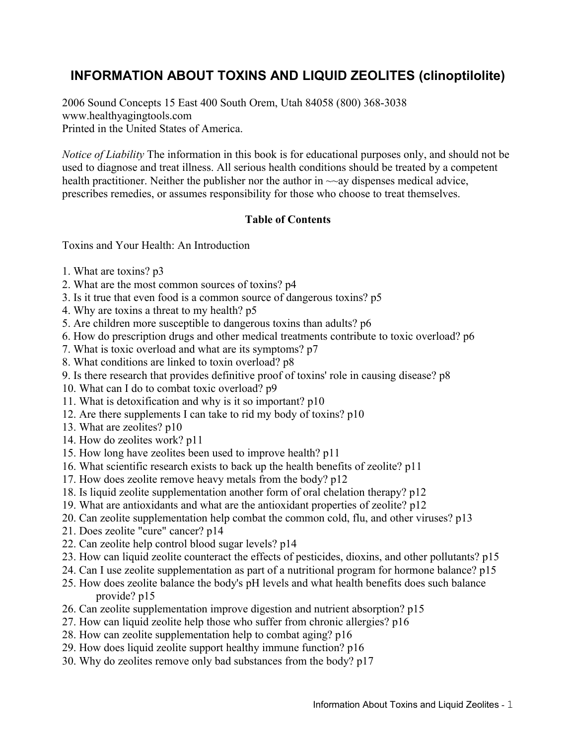# **INFORMATION ABOUT TOXINS AND LIQUID ZEOLITES (clinoptilolite)**

2006 Sound Concepts 15 East 400 South Orem, Utah 84058 (800) 368-3038 www.healthyagingtools.com Printed in the United States of America.

*Notice of Liability* The information in this book is for educational purposes only, and should not be used to diagnose and treat illness. All serious health conditions should be treated by a competent health practitioner. Neither the publisher nor the author in  $\sim$ -ay dispenses medical advice, prescribes remedies, or assumes responsibility for those who choose to treat themselves.

#### **Table of Contents**

Toxins and Your Health: An Introduction

- 1. What are toxins? p3
- 2. What are the most common sources of toxins? p4
- 3. Is it true that even food is a common source of dangerous toxins? p5
- 4. Why are toxins a threat to my health? p5
- 5. Are children more susceptible to dangerous toxins than adults? p6
- 6. How do prescription drugs and other medical treatments contribute to toxic overload? p6
- 7. What is toxic overload and what are its symptoms? p7
- 8. What conditions are linked to toxin overload? p8
- 9. Is there research that provides definitive proof of toxins' role in causing disease? p8
- 10. What can I do to combat toxic overload? p9
- 11. What is detoxification and why is it so important? p10
- 12. Are there supplements I can take to rid my body of toxins? p10
- 13. What are zeolites? p10
- 14. How do zeolites work? p11
- 15. How long have zeolites been used to improve health? p11
- 16. What scientific research exists to back up the health benefits of zeolite? p11
- 17. How does zeolite remove heavy metals from the body? p12
- 18. Is liquid zeolite supplementation another form of oral chelation therapy? p12
- 19. What are antioxidants and what are the antioxidant properties of zeolite? p12
- 20. Can zeolite supplementation help combat the common cold, flu, and other viruses? p13
- 21. Does zeolite "cure" cancer? p14
- 22. Can zeolite help control blood sugar levels? p14
- 23. How can liquid zeolite counteract the effects of pesticides, dioxins, and other pollutants? p15
- 24. Can I use zeolite supplementation as part of a nutritional program for hormone balance? p15
- 25. How does zeolite balance the body's pH levels and what health benefits does such balance provide? p15
- 26. Can zeolite supplementation improve digestion and nutrient absorption? p15
- 27. How can liquid zeolite help those who suffer from chronic allergies? p16
- 28. How can zeolite supplementation help to combat aging? p16
- 29. How does liquid zeolite support healthy immune function? p16
- 30. Why do zeolites remove only bad substances from the body? p17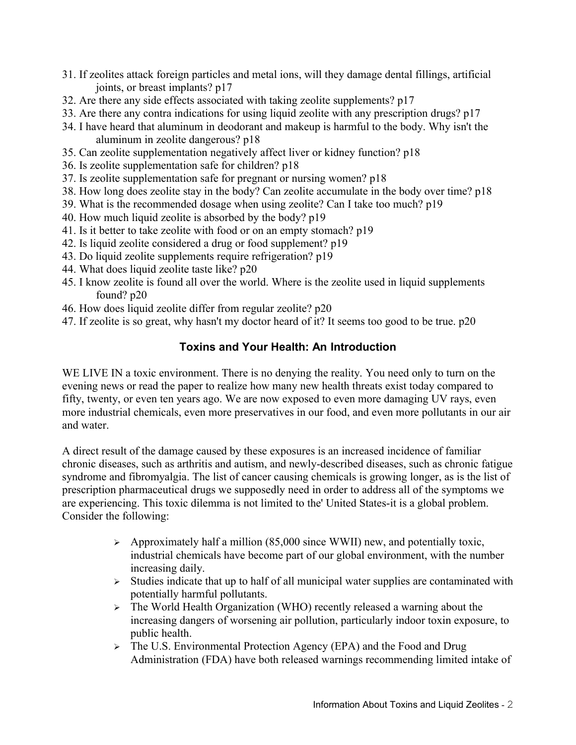- 31. If zeolites attack foreign particles and metal ions, will they damage dental fillings, artificial joints, or breast implants? p17
- 32. Are there any side effects associated with taking zeolite supplements? p17
- 33. Are there any contra indications for using liquid zeolite with any prescription drugs? p17
- 34. I have heard that aluminum in deodorant and makeup is harmful to the body. Why isn't the aluminum in zeolite dangerous? p18
- 35. Can zeolite supplementation negatively affect liver or kidney function? p18
- 36. Is zeolite supplementation safe for children? p18
- 37. Is zeolite supplementation safe for pregnant or nursing women? p18
- 38. How long does zeolite stay in the body? Can zeolite accumulate in the body over time? p18
- 39. What is the recommended dosage when using zeolite? Can I take too much? p19
- 40. How much liquid zeolite is absorbed by the body? p19
- 41. Is it better to take zeolite with food or on an empty stomach? p19
- 42. Is liquid zeolite considered a drug or food supplement? p19
- 43. Do liquid zeolite supplements require refrigeration? p19
- 44. What does liquid zeolite taste like? p20
- 45. I know zeolite is found all over the world. Where is the zeolite used in liquid supplements found? p20
- 46. How does liquid zeolite differ from regular zeolite? p20
- 47. If zeolite is so great, why hasn't my doctor heard of it? It seems too good to be true. p20

# **Toxins and Your Health: An Introduction**

WE LIVE IN a toxic environment. There is no denying the reality. You need only to turn on the evening news or read the paper to realize how many new health threats exist today compared to fifty, twenty, or even ten years ago. We are now exposed to even more damaging UV rays, even more industrial chemicals, even more preservatives in our food, and even more pollutants in our air and water.

A direct result of the damage caused by these exposures is an increased incidence of familiar chronic diseases, such as arthritis and autism, and newly-described diseases, such as chronic fatigue syndrome and fibromyalgia. The list of cancer causing chemicals is growing longer, as is the list of prescription pharmaceutical drugs we supposedly need in order to address all of the symptoms we are experiencing. This toxic dilemma is not limited to the' United States-it is a global problem. Consider the following:

- ➢ Approximately half a million (85,000 since WWII) new, and potentially toxic, industrial chemicals have become part of our global environment, with the number increasing daily.
- $\triangleright$  Studies indicate that up to half of all municipal water supplies are contaminated with potentially harmful pollutants.
- ➢ The World Health Organization (WHO) recently released a warning about the increasing dangers of worsening air pollution, particularly indoor toxin exposure, to public health.
- ➢ The U.S. Environmental Protection Agency (EPA) and the Food and Drug Administration (FDA) have both released warnings recommending limited intake of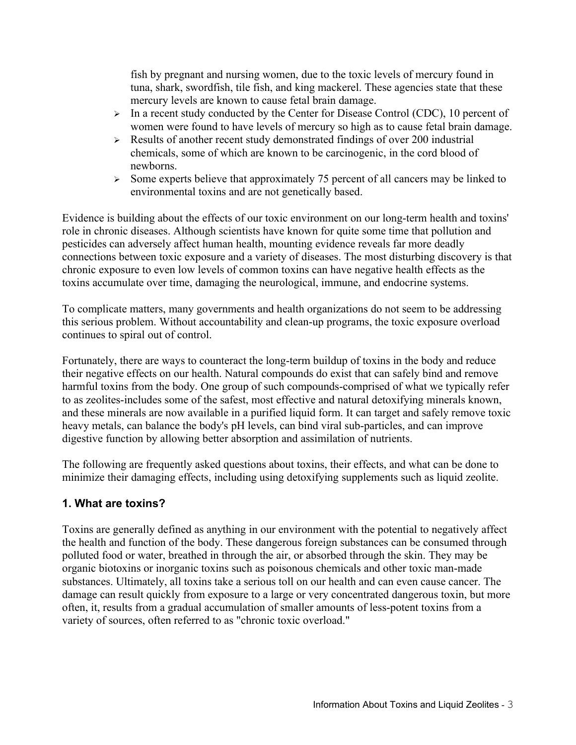fish by pregnant and nursing women, due to the toxic levels of mercury found in tuna, shark, swordfish, tile fish, and king mackerel. These agencies state that these mercury levels are known to cause fetal brain damage.

- ➢ In a recent study conducted by the Center for Disease Control (CDC), 10 percent of women were found to have levels of mercury so high as to cause fetal brain damage.
- ➢ Results of another recent study demonstrated findings of over 200 industrial chemicals, some of which are known to be carcinogenic, in the cord blood of newborns.
- ➢ Some experts believe that approximately 75 percent of all cancers may be linked to environmental toxins and are not genetically based.

Evidence is building about the effects of our toxic environment on our long-term health and toxins' role in chronic diseases. Although scientists have known for quite some time that pollution and pesticides can adversely affect human health, mounting evidence reveals far more deadly connections between toxic exposure and a variety of diseases. The most disturbing discovery is that chronic exposure to even low levels of common toxins can have negative health effects as the toxins accumulate over time, damaging the neurological, immune, and endocrine systems.

To complicate matters, many governments and health organizations do not seem to be addressing this serious problem. Without accountability and clean-up programs, the toxic exposure overload continues to spiral out of control.

Fortunately, there are ways to counteract the long-term buildup of toxins in the body and reduce their negative effects on our health. Natural compounds do exist that can safely bind and remove harmful toxins from the body. One group of such compounds-comprised of what we typically refer to as zeolites-includes some of the safest, most effective and natural detoxifying minerals known, and these minerals are now available in a purified liquid form. It can target and safely remove toxic heavy metals, can balance the body's pH levels, can bind viral sub-particles, and can improve digestive function by allowing better absorption and assimilation of nutrients.

The following are frequently asked questions about toxins, their effects, and what can be done to minimize their damaging effects, including using detoxifying supplements such as liquid zeolite.

# **1. What are toxins?**

Toxins are generally defined as anything in our environment with the potential to negatively affect the health and function of the body. These dangerous foreign substances can be consumed through polluted food or water, breathed in through the air, or absorbed through the skin. They may be organic biotoxins or inorganic toxins such as poisonous chemicals and other toxic man-made substances. Ultimately, all toxins take a serious toll on our health and can even cause cancer. The damage can result quickly from exposure to a large or very concentrated dangerous toxin, but more often, it, results from a gradual accumulation of smaller amounts of less-potent toxins from a variety of sources, often referred to as "chronic toxic overload."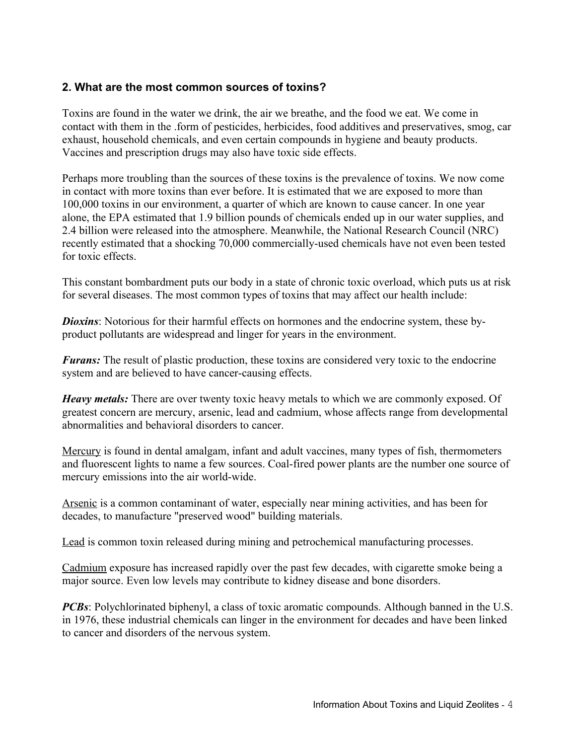#### **2. What are the most common sources of toxins?**

Toxins are found in the water we drink, the air we breathe, and the food we eat. We come in contact with them in the .form of pesticides, herbicides, food additives and preservatives, smog, car exhaust, household chemicals, and even certain compounds in hygiene and beauty products. Vaccines and prescription drugs may also have toxic side effects.

Perhaps more troubling than the sources of these toxins is the prevalence of toxins. We now come in contact with more toxins than ever before. It is estimated that we are exposed to more than 100,000 toxins in our environment, a quarter of which are known to cause cancer. In one year alone, the EPA estimated that 1.9 billion pounds of chemicals ended up in our water supplies, and 2.4 billion were released into the atmosphere. Meanwhile, the National Research Council (NRC) recently estimated that a shocking 70,000 commercially-used chemicals have not even been tested for toxic effects.

This constant bombardment puts our body in a state of chronic toxic overload, which puts us at risk for several diseases. The most common types of toxins that may affect our health include:

**Dioxins**: Notorious for their harmful effects on hormones and the endocrine system, these byproduct pollutants are widespread and linger for years in the environment.

*Furans:* The result of plastic production, these toxins are considered very toxic to the endocrine system and are believed to have cancer-causing effects.

*Heavy metals:* There are over twenty toxic heavy metals to which we are commonly exposed. Of greatest concern are mercury, arsenic, lead and cadmium, whose affects range from developmental abnormalities and behavioral disorders to cancer.

Mercury is found in dental amalgam, infant and adult vaccines, many types of fish, thermometers and fluorescent lights to name a few sources. Coal-fired power plants are the number one source of mercury emissions into the air world-wide.

Arsenic is a common contaminant of water, especially near mining activities, and has been for decades, to manufacture "preserved wood" building materials.

Lead is common toxin released during mining and petrochemical manufacturing processes.

Cadmium exposure has increased rapidly over the past few decades, with cigarette smoke being a major source. Even low levels may contribute to kidney disease and bone disorders.

*PCBs*: Polychlorinated biphenyl, a class of toxic aromatic compounds. Although banned in the U.S. in 1976, these industrial chemicals can linger in the environment for decades and have been linked to cancer and disorders of the nervous system.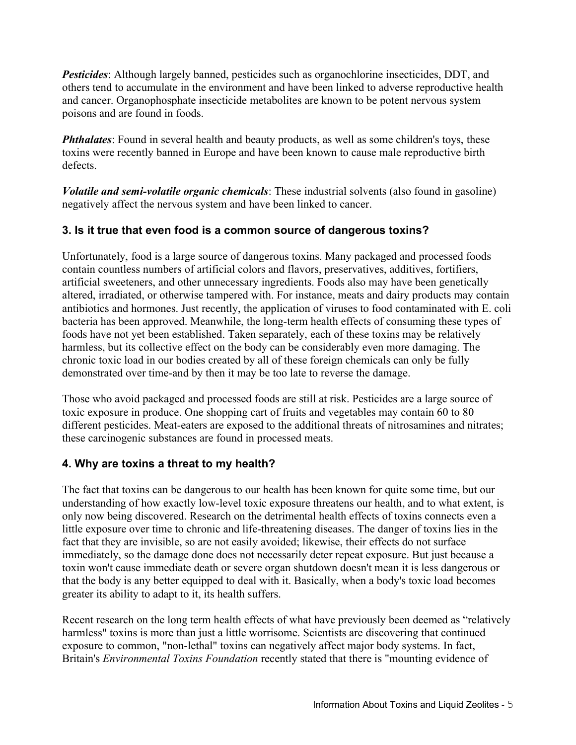*Pesticides*: Although largely banned, pesticides such as organochlorine insecticides, DDT, and others tend to accumulate in the environment and have been linked to adverse reproductive health and cancer. Organophosphate insecticide metabolites are known to be potent nervous system poisons and are found in foods.

**Phthalates**: Found in several health and beauty products, as well as some children's toys, these toxins were recently banned in Europe and have been known to cause male reproductive birth defects.

*Volatile and semi-volatile organic chemicals*: These industrial solvents (also found in gasoline) negatively affect the nervous system and have been linked to cancer.

# **3. Is it true that even food is a common source of dangerous toxins?**

Unfortunately, food is a large source of dangerous toxins. Many packaged and processed foods contain countless numbers of artificial colors and flavors, preservatives, additives, fortifiers, artificial sweeteners, and other unnecessary ingredients. Foods also may have been genetically altered, irradiated, or otherwise tampered with. For instance, meats and dairy products may contain antibiotics and hormones. Just recently, the application of viruses to food contaminated with E. coli bacteria has been approved. Meanwhile, the long-term health effects of consuming these types of foods have not yet been established. Taken separately, each of these toxins may be relatively harmless, but its collective effect on the body can be considerably even more damaging. The chronic toxic load in our bodies created by all of these foreign chemicals can only be fully demonstrated over time-and by then it may be too late to reverse the damage.

Those who avoid packaged and processed foods are still at risk. Pesticides are a large source of toxic exposure in produce. One shopping cart of fruits and vegetables may contain 60 to 80 different pesticides. Meat-eaters are exposed to the additional threats of nitrosamines and nitrates; these carcinogenic substances are found in processed meats.

# **4. Why are toxins a threat to my health?**

The fact that toxins can be dangerous to our health has been known for quite some time, but our understanding of how exactly low-level toxic exposure threatens our health, and to what extent, is only now being discovered. Research on the detrimental health effects of toxins connects even a little exposure over time to chronic and life-threatening diseases. The danger of toxins lies in the fact that they are invisible, so are not easily avoided; likewise, their effects do not surface immediately, so the damage done does not necessarily deter repeat exposure. But just because a toxin won't cause immediate death or severe organ shutdown doesn't mean it is less dangerous or that the body is any better equipped to deal with it. Basically, when a body's toxic load becomes greater its ability to adapt to it, its health suffers.

Recent research on the long term health effects of what have previously been deemed as "relatively harmless" toxins is more than just a little worrisome. Scientists are discovering that continued exposure to common, "non-lethal" toxins can negatively affect major body systems. In fact, Britain's *Environmental Toxins Foundation* recently stated that there is "mounting evidence of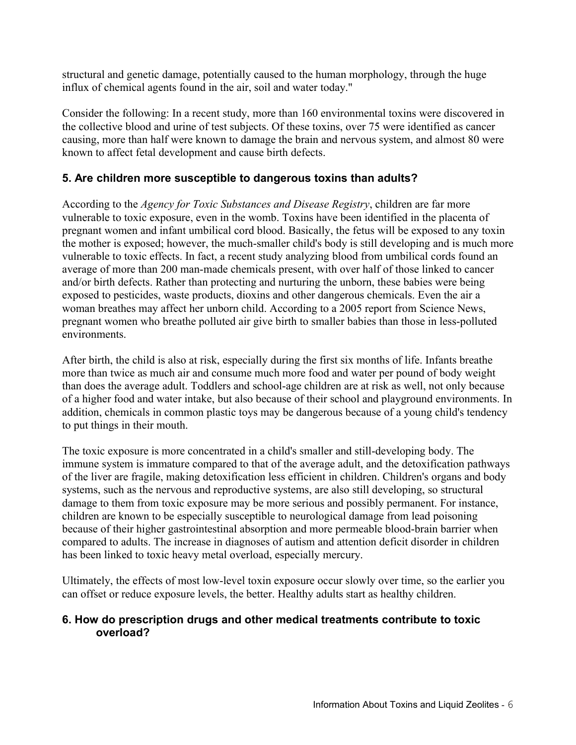structural and genetic damage, potentially caused to the human morphology, through the huge influx of chemical agents found in the air, soil and water today."

Consider the following: In a recent study, more than 160 environmental toxins were discovered in the collective blood and urine of test subjects. Of these toxins, over 75 were identified as cancer causing, more than half were known to damage the brain and nervous system, and almost 80 were known to affect fetal development and cause birth defects.

#### **5. Are children more susceptible to dangerous toxins than adults?**

According to the *Agency for Toxic Substances and Disease Registry*, children are far more vulnerable to toxic exposure, even in the womb. Toxins have been identified in the placenta of pregnant women and infant umbilical cord blood. Basically, the fetus will be exposed to any toxin the mother is exposed; however, the much-smaller child's body is still developing and is much more vulnerable to toxic effects. In fact, a recent study analyzing blood from umbilical cords found an average of more than 200 man-made chemicals present, with over half of those linked to cancer and/or birth defects. Rather than protecting and nurturing the unborn, these babies were being exposed to pesticides, waste products, dioxins and other dangerous chemicals. Even the air a woman breathes may affect her unborn child. According to a 2005 report from Science News, pregnant women who breathe polluted air give birth to smaller babies than those in less-polluted environments.

After birth, the child is also at risk, especially during the first six months of life. Infants breathe more than twice as much air and consume much more food and water per pound of body weight than does the average adult. Toddlers and school-age children are at risk as well, not only because of a higher food and water intake, but also because of their school and playground environments. In addition, chemicals in common plastic toys may be dangerous because of a young child's tendency to put things in their mouth.

The toxic exposure is more concentrated in a child's smaller and still-developing body. The immune system is immature compared to that of the average adult, and the detoxification pathways of the liver are fragile, making detoxification less efficient in children. Children's organs and body systems, such as the nervous and reproductive systems, are also still developing, so structural damage to them from toxic exposure may be more serious and possibly permanent. For instance, children are known to be especially susceptible to neurological damage from lead poisoning because of their higher gastrointestinal absorption and more permeable blood-brain barrier when compared to adults. The increase in diagnoses of autism and attention deficit disorder in children has been linked to toxic heavy metal overload, especially mercury.

Ultimately, the effects of most low-level toxin exposure occur slowly over time, so the earlier you can offset or reduce exposure levels, the better. Healthy adults start as healthy children.

#### **6. How do prescription drugs and other medical treatments contribute to toxic overload?**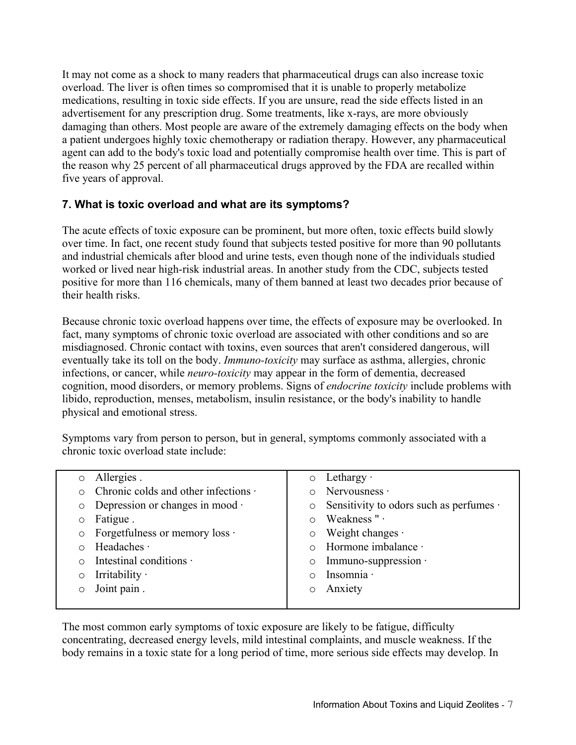It may not come as a shock to many readers that pharmaceutical drugs can also increase toxic overload. The liver is often times so compromised that it is unable to properly metabolize medications, resulting in toxic side effects. If you are unsure, read the side effects listed in an advertisement for any prescription drug. Some treatments, like x-rays, are more obviously damaging than others. Most people are aware of the extremely damaging effects on the body when a patient undergoes highly toxic chemotherapy or radiation therapy. However, any pharmaceutical agent can add to the body's toxic load and potentially compromise health over time. This is part of the reason why 25 percent of all pharmaceutical drugs approved by the FDA are recalled within five years of approval.

# **7. What is toxic overload and what are its symptoms?**

The acute effects of toxic exposure can be prominent, but more often, toxic effects build slowly over time. In fact, one recent study found that subjects tested positive for more than 90 pollutants and industrial chemicals after blood and urine tests, even though none of the individuals studied worked or lived near high-risk industrial areas. In another study from the CDC, subjects tested positive for more than 116 chemicals, many of them banned at least two decades prior because of their health risks.

Because chronic toxic overload happens over time, the effects of exposure may be overlooked. In fact, many symptoms of chronic toxic overload are associated with other conditions and so are misdiagnosed. Chronic contact with toxins, even sources that aren't considered dangerous, will eventually take its toll on the body. *Immuno-toxicity* may surface as asthma, allergies, chronic infections, or cancer, while *neuro-toxicity* may appear in the form of dementia, decreased cognition, mood disorders, or memory problems. Signs of *endocrine toxicity* include problems with libido, reproduction, menses, metabolism, insulin resistance, or the body's inability to handle physical and emotional stress.

Symptoms vary from person to person, but in general, symptoms commonly associated with a chronic toxic overload state include:

|         | Allergies.                                 | $\circ$ | Lethargy $\cdot$                              |
|---------|--------------------------------------------|---------|-----------------------------------------------|
|         | Chronic colds and other infections $\cdot$ |         | Nervousness ·                                 |
| $\circ$ | Depression or changes in mood $\cdot$      | $\circ$ | Sensitivity to odors such as perfumes $\cdot$ |
|         | Fatigue.                                   |         | Weakness " ·                                  |
| $\circ$ | Forgetfulness or memory loss $\cdot$       | $\circ$ | Weight changes $\cdot$                        |
|         | Headaches ·                                |         | Hormone imbalance ·                           |
|         | Intestinal conditions ·                    | $\circ$ | Immuno-suppression $\cdot$                    |
|         | Irritability $\cdot$                       |         | Insomnia ·                                    |
|         | Joint pain.                                |         | Anxiety                                       |
|         |                                            |         |                                               |

The most common early symptoms of toxic exposure are likely to be fatigue, difficulty concentrating, decreased energy levels, mild intestinal complaints, and muscle weakness. If the body remains in a toxic state for a long period of time, more serious side effects may develop. In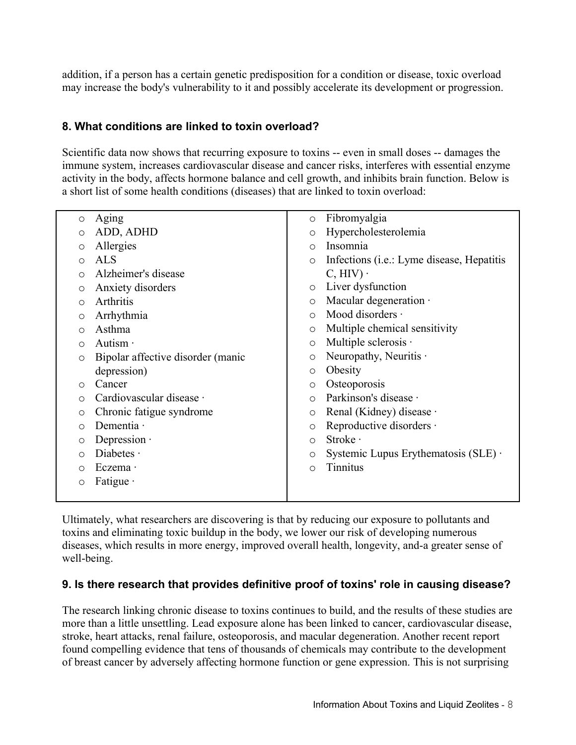addition, if a person has a certain genetic predisposition for a condition or disease, toxic overload may increase the body's vulnerability to it and possibly accelerate its development or progression.

# **8. What conditions are linked to toxin overload?**

Scientific data now shows that recurring exposure to toxins -- even in small doses -- damages the immune system, increases cardiovascular disease and cancer risks, interferes with essential enzyme activity in the body, affects hormone balance and cell growth, and inhibits brain function. Below is a short list of some health conditions (diseases) that are linked to toxin overload:

| $\circ$ | Aging                             | $\circ$    | Fibromyalgia                                       |
|---------|-----------------------------------|------------|----------------------------------------------------|
| O       | ADD, ADHD                         | $\circ$    | Hypercholesterolemia                               |
| O       | Allergies                         | $\bigcirc$ | Insomnia                                           |
| O       | <b>ALS</b>                        | $\circ$    | Infections ( <i>i.e.</i> : Lyme disease, Hepatitis |
| O       | Alzheimer's disease               |            | $C, HIV$ ).                                        |
| O       | Anxiety disorders                 | $\circ$    | Liver dysfunction                                  |
| O       | Arthritis                         | $\circ$    | Macular degeneration ·                             |
| O       | Arrhythmia                        | $\bigcirc$ | Mood disorders $\cdot$                             |
| Ο       | Asthma                            | $\circ$    | Multiple chemical sensitivity                      |
| O       | Autism $\cdot$                    | $\circ$    | Multiple sclerosis ·                               |
| $\circ$ | Bipolar affective disorder (manic | O          | Neuropathy, Neuritis $\cdot$                       |
|         | depression)                       | $\circ$    | Obesity                                            |
| O       | Cancer                            | $\circ$    | Osteoporosis                                       |
| ∩       | Cardiovascular disease ·          | $\bigcirc$ | Parkinson's disease ·                              |
| $\circ$ | Chronic fatigue syndrome          | O          | Renal (Kidney) disease ·                           |
| O       | Dementia ·                        | O          | Reproductive disorders ·                           |
| O       | Depression $\cdot$                | $\circ$    | Stroke ·                                           |
| O       | Diabetes $\cdot$                  | $\circ$    | Systemic Lupus Erythematosis $(SLE)$ .             |
| ∩       | Eczema ·                          | $\circ$    | Tinnitus                                           |
| $\circ$ | Fatigue $\cdot$                   |            |                                                    |
|         |                                   |            |                                                    |

Ultimately, what researchers are discovering is that by reducing our exposure to pollutants and toxins and eliminating toxic buildup in the body, we lower our risk of developing numerous diseases, which results in more energy, improved overall health, longevity, and-a greater sense of well-being.

# **9. Is there research that provides definitive proof of toxins' role in causing disease?**

The research linking chronic disease to toxins continues to build, and the results of these studies are more than a little unsettling. Lead exposure alone has been linked to cancer, cardiovascular disease, stroke, heart attacks, renal failure, osteoporosis, and macular degeneration. Another recent report found compelling evidence that tens of thousands of chemicals may contribute to the development of breast cancer by adversely affecting hormone function or gene expression. This is not surprising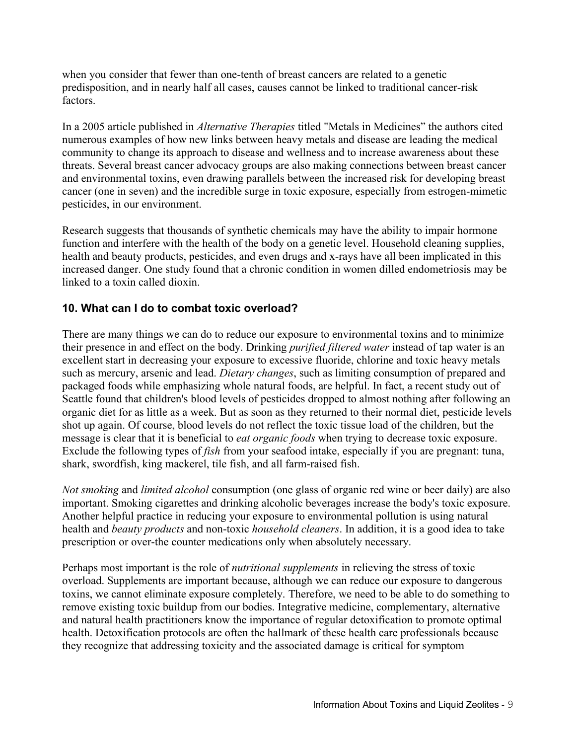when you consider that fewer than one-tenth of breast cancers are related to a genetic predisposition, and in nearly half all cases, causes cannot be linked to traditional cancer-risk factors.

In a 2005 article published in *Alternative Therapies* titled "Metals in Medicines" the authors cited numerous examples of how new links between heavy metals and disease are leading the medical community to change its approach to disease and wellness and to increase awareness about these threats. Several breast cancer advocacy groups are also making connections between breast cancer and environmental toxins, even drawing parallels between the increased risk for developing breast cancer (one in seven) and the incredible surge in toxic exposure, especially from estrogen-mimetic pesticides, in our environment.

Research suggests that thousands of synthetic chemicals may have the ability to impair hormone function and interfere with the health of the body on a genetic level. Household cleaning supplies, health and beauty products, pesticides, and even drugs and x-rays have all been implicated in this increased danger. One study found that a chronic condition in women dilled endometriosis may be linked to a toxin called dioxin.

# **10. What can I do to combat toxic overload?**

There are many things we can do to reduce our exposure to environmental toxins and to minimize their presence in and effect on the body. Drinking *purified filtered water* instead of tap water is an excellent start in decreasing your exposure to excessive fluoride, chlorine and toxic heavy metals such as mercury, arsenic and lead. *Dietary changes*, such as limiting consumption of prepared and packaged foods while emphasizing whole natural foods, are helpful. In fact, a recent study out of Seattle found that children's blood levels of pesticides dropped to almost nothing after following an organic diet for as little as a week. But as soon as they returned to their normal diet, pesticide levels shot up again. Of course, blood levels do not reflect the toxic tissue load of the children, but the message is clear that it is beneficial to *eat organic foods* when trying to decrease toxic exposure. Exclude the following types of *fish* from your seafood intake, especially if you are pregnant: tuna, shark, swordfish, king mackerel, tile fish, and all farm-raised fish.

*Not smoking* and *limited alcohol* consumption (one glass of organic red wine or beer daily) are also important. Smoking cigarettes and drinking alcoholic beverages increase the body's toxic exposure. Another helpful practice in reducing your exposure to environmental pollution is using natural health and *beauty products* and non-toxic *household cleaners*. In addition, it is a good idea to take prescription or over-the counter medications only when absolutely necessary.

Perhaps most important is the role of *nutritional supplements* in relieving the stress of toxic overload. Supplements are important because, although we can reduce our exposure to dangerous toxins, we cannot eliminate exposure completely. Therefore, we need to be able to do something to remove existing toxic buildup from our bodies. Integrative medicine, complementary, alternative and natural health practitioners know the importance of regular detoxification to promote optimal health. Detoxification protocols are often the hallmark of these health care professionals because they recognize that addressing toxicity and the associated damage is critical for symptom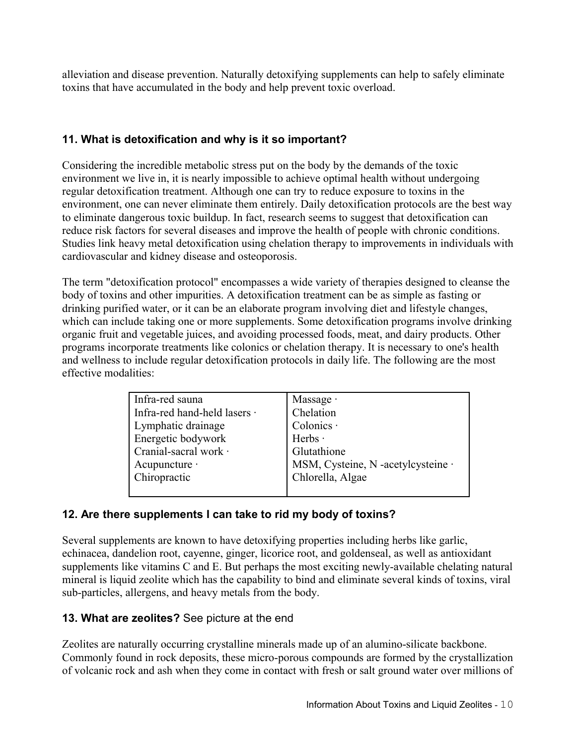alleviation and disease prevention. Naturally detoxifying supplements can help to safely eliminate toxins that have accumulated in the body and help prevent toxic overload.

# **11. What is detoxification and why is it so important?**

Considering the incredible metabolic stress put on the body by the demands of the toxic environment we live in, it is nearly impossible to achieve optimal health without undergoing regular detoxification treatment. Although one can try to reduce exposure to toxins in the environment, one can never eliminate them entirely. Daily detoxification protocols are the best way to eliminate dangerous toxic buildup. In fact, research seems to suggest that detoxification can reduce risk factors for several diseases and improve the health of people with chronic conditions. Studies link heavy metal detoxification using chelation therapy to improvements in individuals with cardiovascular and kidney disease and osteoporosis.

The term "detoxification protocol" encompasses a wide variety of therapies designed to cleanse the body of toxins and other impurities. A detoxification treatment can be as simple as fasting or drinking purified water, or it can be an elaborate program involving diet and lifestyle changes, which can include taking one or more supplements. Some detoxification programs involve drinking organic fruit and vegetable juices, and avoiding processed foods, meat, and dairy products. Other programs incorporate treatments like colonics or chelation therapy. It is necessary to one's health and wellness to include regular detoxification protocols in daily life. The following are the most effective modalities:

| Infra-red sauna              | Massage $\cdot$                    |  |  |
|------------------------------|------------------------------------|--|--|
| Infra-red hand-held lasers · | Chelation                          |  |  |
| Lymphatic drainage           | Colonics ·                         |  |  |
| Energetic bodywork           | Herbs ·                            |  |  |
| Cranial-sacral work ·        | Glutathione                        |  |  |
| Acupuncture ·                | MSM, Cysteine, N -acetylcysteine · |  |  |
| Chiropractic                 | Chlorella, Algae                   |  |  |
|                              |                                    |  |  |

# **12. Are there supplements I can take to rid my body of toxins?**

Several supplements are known to have detoxifying properties including herbs like garlic, echinacea, dandelion root, cayenne, ginger, licorice root, and goldenseal, as well as antioxidant supplements like vitamins C and E. But perhaps the most exciting newly-available chelating natural mineral is liquid zeolite which has the capability to bind and eliminate several kinds of toxins, viral sub-particles, allergens, and heavy metals from the body.

# **13. What are zeolites?** See picture at the end

Zeolites are naturally occurring crystalline minerals made up of an alumino-silicate backbone. Commonly found in rock deposits, these micro-porous compounds are formed by the crystallization of volcanic rock and ash when they come in contact with fresh or salt ground water over millions of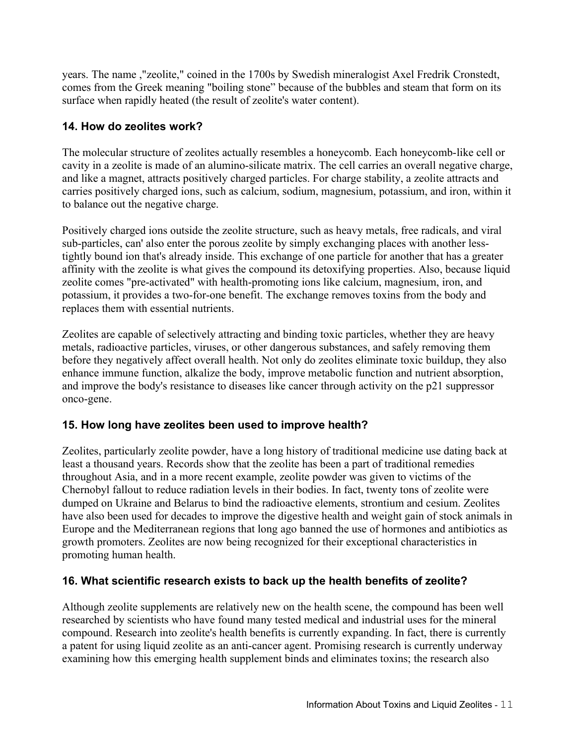years. The name ,"zeolite," coined in the 1700s by Swedish mineralogist Axel Fredrik Cronstedt, comes from the Greek meaning "boiling stone" because of the bubbles and steam that form on its surface when rapidly heated (the result of zeolite's water content).

# **14. How do zeolites work?**

The molecular structure of zeolites actually resembles a honeycomb. Each honeycomb-like cell or cavity in a zeolite is made of an alumino-silicate matrix. The cell carries an overall negative charge, and like a magnet, attracts positively charged particles. For charge stability, a zeolite attracts and carries positively charged ions, such as calcium, sodium, magnesium, potassium, and iron, within it to balance out the negative charge.

Positively charged ions outside the zeolite structure, such as heavy metals, free radicals, and viral sub-particles, can' also enter the porous zeolite by simply exchanging places with another lesstightly bound ion that's already inside. This exchange of one particle for another that has a greater affinity with the zeolite is what gives the compound its detoxifying properties. Also, because liquid zeolite comes "pre-activated" with health-promoting ions like calcium, magnesium, iron, and potassium, it provides a two-for-one benefit. The exchange removes toxins from the body and replaces them with essential nutrients.

Zeolites are capable of selectively attracting and binding toxic particles, whether they are heavy metals, radioactive particles, viruses, or other dangerous substances, and safely removing them before they negatively affect overall health. Not only do zeolites eliminate toxic buildup, they also enhance immune function, alkalize the body, improve metabolic function and nutrient absorption, and improve the body's resistance to diseases like cancer through activity on the p21 suppressor onco-gene.

# **15. How long have zeolites been used to improve health?**

Zeolites, particularly zeolite powder, have a long history of traditional medicine use dating back at least a thousand years. Records show that the zeolite has been a part of traditional remedies throughout Asia, and in a more recent example, zeolite powder was given to victims of the Chernobyl fallout to reduce radiation levels in their bodies. In fact, twenty tons of zeolite were dumped on Ukraine and Belarus to bind the radioactive elements, strontium and cesium. Zeolites have also been used for decades to improve the digestive health and weight gain of stock animals in Europe and the Mediterranean regions that long ago banned the use of hormones and antibiotics as growth promoters. Zeolites are now being recognized for their exceptional characteristics in promoting human health.

# **16. What scientific research exists to back up the health benefits of zeolite?**

Although zeolite supplements are relatively new on the health scene, the compound has been well researched by scientists who have found many tested medical and industrial uses for the mineral compound. Research into zeolite's health benefits is currently expanding. In fact, there is currently a patent for using liquid zeolite as an anti-cancer agent. Promising research is currently underway examining how this emerging health supplement binds and eliminates toxins; the research also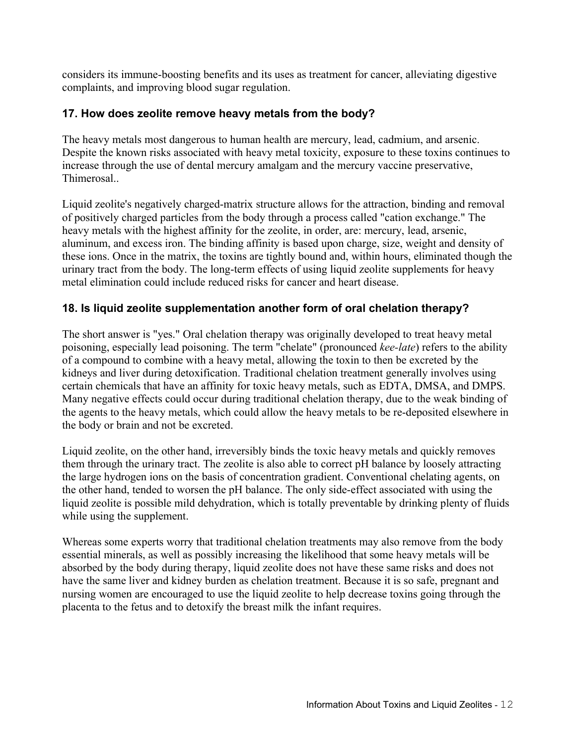considers its immune-boosting benefits and its uses as treatment for cancer, alleviating digestive complaints, and improving blood sugar regulation.

# **17. How does zeolite remove heavy metals from the body?**

The heavy metals most dangerous to human health are mercury, lead, cadmium, and arsenic. Despite the known risks associated with heavy metal toxicity, exposure to these toxins continues to increase through the use of dental mercury amalgam and the mercury vaccine preservative, Thimerosal..

Liquid zeolite's negatively charged-matrix structure allows for the attraction, binding and removal of positively charged particles from the body through a process called "cation exchange." The heavy metals with the highest affinity for the zeolite, in order, are: mercury, lead, arsenic, aluminum, and excess iron. The binding affinity is based upon charge, size, weight and density of these ions. Once in the matrix, the toxins are tightly bound and, within hours, eliminated though the urinary tract from the body. The long-term effects of using liquid zeolite supplements for heavy metal elimination could include reduced risks for cancer and heart disease.

# **18. Is liquid zeolite supplementation another form of oral chelation therapy?**

The short answer is "yes." Oral chelation therapy was originally developed to treat heavy metal poisoning, especially lead poisoning. The term "chelate" (pronounced *kee-late*) refers to the ability of a compound to combine with a heavy metal, allowing the toxin to then be excreted by the kidneys and liver during detoxification. Traditional chelation treatment generally involves using certain chemicals that have an affinity for toxic heavy metals, such as EDTA, DMSA, and DMPS. Many negative effects could occur during traditional chelation therapy, due to the weak binding of the agents to the heavy metals, which could allow the heavy metals to be re-deposited elsewhere in the body or brain and not be excreted.

Liquid zeolite, on the other hand, irreversibly binds the toxic heavy metals and quickly removes them through the urinary tract. The zeolite is also able to correct pH balance by loosely attracting the large hydrogen ions on the basis of concentration gradient. Conventional chelating agents, on the other hand, tended to worsen the pH balance. The only side-effect associated with using the liquid zeolite is possible mild dehydration, which is totally preventable by drinking plenty of fluids while using the supplement.

Whereas some experts worry that traditional chelation treatments may also remove from the body essential minerals, as well as possibly increasing the likelihood that some heavy metals will be absorbed by the body during therapy, liquid zeolite does not have these same risks and does not have the same liver and kidney burden as chelation treatment. Because it is so safe, pregnant and nursing women are encouraged to use the liquid zeolite to help decrease toxins going through the placenta to the fetus and to detoxify the breast milk the infant requires.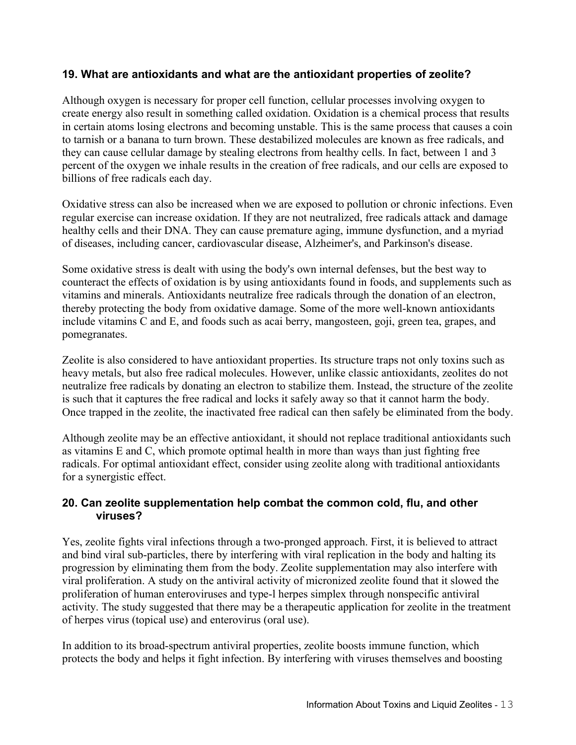#### **19. What are antioxidants and what are the antioxidant properties of zeolite?**

Although oxygen is necessary for proper cell function, cellular processes involving oxygen to create energy also result in something called oxidation. Oxidation is a chemical process that results in certain atoms losing electrons and becoming unstable. This is the same process that causes a coin to tarnish or a banana to turn brown. These destabilized molecules are known as free radicals, and they can cause cellular damage by stealing electrons from healthy cells. In fact, between 1 and 3 percent of the oxygen we inhale results in the creation of free radicals, and our cells are exposed to billions of free radicals each day.

Oxidative stress can also be increased when we are exposed to pollution or chronic infections. Even regular exercise can increase oxidation. If they are not neutralized, free radicals attack and damage healthy cells and their DNA. They can cause premature aging, immune dysfunction, and a myriad of diseases, including cancer, cardiovascular disease, Alzheimer's, and Parkinson's disease.

Some oxidative stress is dealt with using the body's own internal defenses, but the best way to counteract the effects of oxidation is by using antioxidants found in foods, and supplements such as vitamins and minerals. Antioxidants neutralize free radicals through the donation of an electron, thereby protecting the body from oxidative damage. Some of the more well-known antioxidants include vitamins C and E, and foods such as acai berry, mangosteen, goji, green tea, grapes, and pomegranates.

Zeolite is also considered to have antioxidant properties. Its structure traps not only toxins such as heavy metals, but also free radical molecules. However, unlike classic antioxidants, zeolites do not neutralize free radicals by donating an electron to stabilize them. Instead, the structure of the zeolite is such that it captures the free radical and locks it safely away so that it cannot harm the body. Once trapped in the zeolite, the inactivated free radical can then safely be eliminated from the body.

Although zeolite may be an effective antioxidant, it should not replace traditional antioxidants such as vitamins E and C, which promote optimal health in more than ways than just fighting free radicals. For optimal antioxidant effect, consider using zeolite along with traditional antioxidants for a synergistic effect.

#### **20. Can zeolite supplementation help combat the common cold, flu, and other viruses?**

Yes, zeolite fights viral infections through a two-pronged approach. First, it is believed to attract and bind viral sub-particles, there by interfering with viral replication in the body and halting its progression by eliminating them from the body. Zeolite supplementation may also interfere with viral proliferation. A study on the antiviral activity of micronized zeolite found that it slowed the proliferation of human enteroviruses and type-l herpes simplex through nonspecific antiviral activity. The study suggested that there may be a therapeutic application for zeolite in the treatment of herpes virus (topical use) and enterovirus (oral use).

In addition to its broad-spectrum antiviral properties, zeolite boosts immune function, which protects the body and helps it fight infection. By interfering with viruses themselves and boosting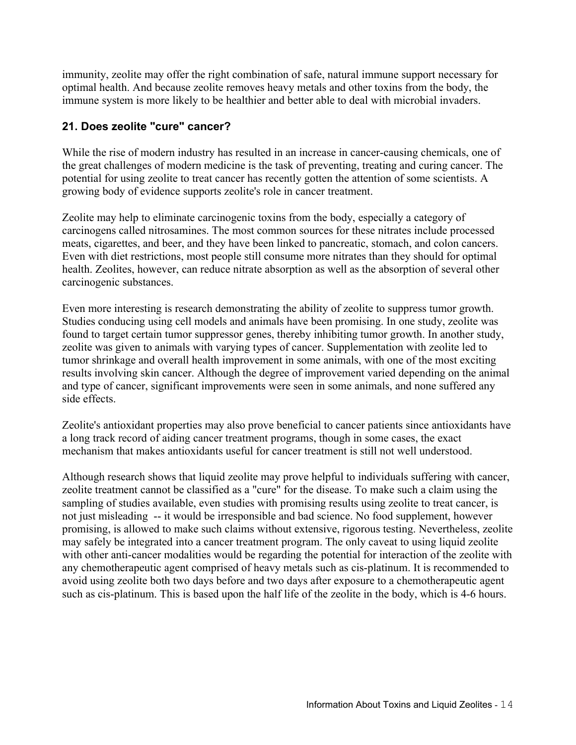immunity, zeolite may offer the right combination of safe, natural immune support necessary for optimal health. And because zeolite removes heavy metals and other toxins from the body, the immune system is more likely to be healthier and better able to deal with microbial invaders.

# **21. Does zeolite "cure" cancer?**

While the rise of modern industry has resulted in an increase in cancer-causing chemicals, one of the great challenges of modern medicine is the task of preventing, treating and curing cancer. The potential for using zeolite to treat cancer has recently gotten the attention of some scientists. A growing body of evidence supports zeolite's role in cancer treatment.

Zeolite may help to eliminate carcinogenic toxins from the body, especially a category of carcinogens called nitrosamines. The most common sources for these nitrates include processed meats, cigarettes, and beer, and they have been linked to pancreatic, stomach, and colon cancers. Even with diet restrictions, most people still consume more nitrates than they should for optimal health. Zeolites, however, can reduce nitrate absorption as well as the absorption of several other carcinogenic substances.

Even more interesting is research demonstrating the ability of zeolite to suppress tumor growth. Studies conducing using cell models and animals have been promising. In one study, zeolite was found to target certain tumor suppressor genes, thereby inhibiting tumor growth. In another study, zeolite was given to animals with varying types of cancer. Supplementation with zeolite led to tumor shrinkage and overall health improvement in some animals, with one of the most exciting results involving skin cancer. Although the degree of improvement varied depending on the animal and type of cancer, significant improvements were seen in some animals, and none suffered any side effects.

Zeolite's antioxidant properties may also prove beneficial to cancer patients since antioxidants have a long track record of aiding cancer treatment programs, though in some cases, the exact mechanism that makes antioxidants useful for cancer treatment is still not well understood.

Although research shows that liquid zeolite may prove helpful to individuals suffering with cancer, zeolite treatment cannot be classified as a "cure" for the disease. To make such a claim using the sampling of studies available, even studies with promising results using zeolite to treat cancer, is not just misleading -- it would be irresponsible and bad science. No food supplement, however promising, is allowed to make such claims without extensive, rigorous testing. Nevertheless, zeolite may safely be integrated into a cancer treatment program. The only caveat to using liquid zeolite with other anti-cancer modalities would be regarding the potential for interaction of the zeolite with any chemotherapeutic agent comprised of heavy metals such as cis-platinum. It is recommended to avoid using zeolite both two days before and two days after exposure to a chemotherapeutic agent such as cis-platinum. This is based upon the half life of the zeolite in the body, which is 4-6 hours.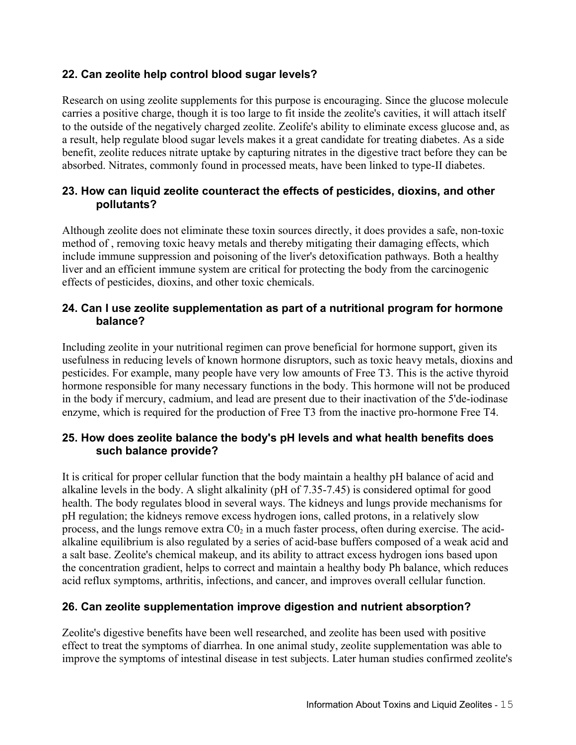# **22. Can zeolite help control blood sugar levels?**

Research on using zeolite supplements for this purpose is encouraging. Since the glucose molecule carries a positive charge, though it is too large to fit inside the zeolite's cavities, it will attach itself to the outside of the negatively charged zeolite. Zeolife's ability to eliminate excess glucose and, as a result, help regulate blood sugar levels makes it a great candidate for treating diabetes. As a side benefit, zeolite reduces nitrate uptake by capturing nitrates in the digestive tract before they can be absorbed. Nitrates, commonly found in processed meats, have been linked to type-II diabetes.

#### **23. How can liquid zeolite counteract the effects of pesticides, dioxins, and other pollutants?**

Although zeolite does not eliminate these toxin sources directly, it does provides a safe, non-toxic method of , removing toxic heavy metals and thereby mitigating their damaging effects, which include immune suppression and poisoning of the liver's detoxification pathways. Both a healthy liver and an efficient immune system are critical for protecting the body from the carcinogenic effects of pesticides, dioxins, and other toxic chemicals.

#### **24. Can I use zeolite supplementation as part of a nutritional program for hormone balance?**

Including zeolite in your nutritional regimen can prove beneficial for hormone support, given its usefulness in reducing levels of known hormone disruptors, such as toxic heavy metals, dioxins and pesticides. For example, many people have very low amounts of Free T3. This is the active thyroid hormone responsible for many necessary functions in the body. This hormone will not be produced in the body if mercury, cadmium, and lead are present due to their inactivation of the 5'de-iodinase enzyme, which is required for the production of Free T3 from the inactive pro-hormone Free T4.

# **25. How does zeolite balance the body's pH levels and what health benefits does such balance provide?**

It is critical for proper cellular function that the body maintain a healthy pH balance of acid and alkaline levels in the body. A slight alkalinity (pH of 7.35-7.45) is considered optimal for good health. The body regulates blood in several ways. The kidneys and lungs provide mechanisms for pH regulation; the kidneys remove excess hydrogen ions, called protons, in a relatively slow process, and the lungs remove extra  $CO<sub>2</sub>$  in a much faster process, often during exercise. The acidalkaline equilibrium is also regulated by a series of acid-base buffers composed of a weak acid and a salt base. Zeolite's chemical makeup, and its ability to attract excess hydrogen ions based upon the concentration gradient, helps to correct and maintain a healthy body Ph balance, which reduces acid reflux symptoms, arthritis, infections, and cancer, and improves overall cellular function.

# **26. Can zeolite supplementation improve digestion and nutrient absorption?**

Zeolite's digestive benefits have been well researched, and zeolite has been used with positive effect to treat the symptoms of diarrhea. In one animal study, zeolite supplementation was able to improve the symptoms of intestinal disease in test subjects. Later human studies confirmed zeolite's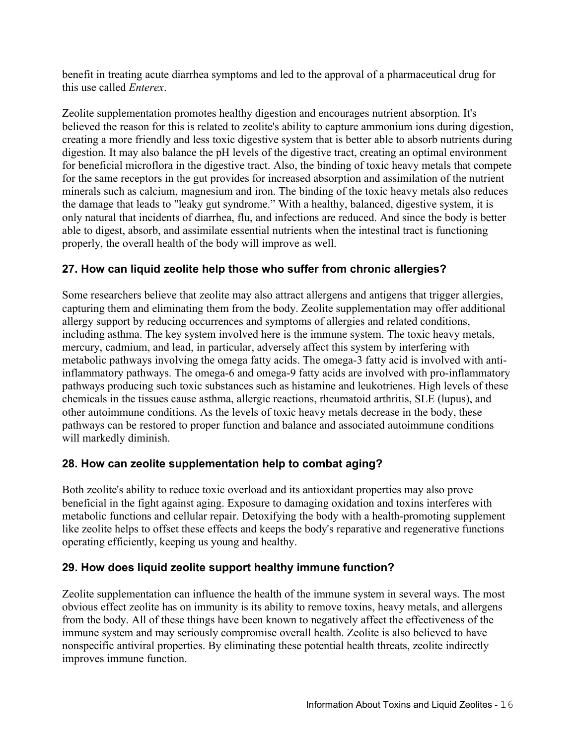benefit in treating acute diarrhea symptoms and led to the approval of a pharmaceutical drug for this use called *Enterex*.

Zeolite supplementation promotes healthy digestion and encourages nutrient absorption. It's believed the reason for this is related to zeolite's ability to capture ammonium ions during digestion, creating a more friendly and less toxic digestive system that is better able to absorb nutrients during digestion. It may also balance the pH levels of the digestive tract, creating an optimal environment for beneficial microflora in the digestive tract. Also, the binding of toxic heavy metals that compete for the same receptors in the gut provides for increased absorption and assimilation of the nutrient minerals such as calcium, magnesium and iron. The binding of the toxic heavy metals also reduces the damage that leads to "leaky gut syndrome." With a healthy, balanced, digestive system, it is only natural that incidents of diarrhea, flu, and infections are reduced. And since the body is better able to digest, absorb, and assimilate essential nutrients when the intestinal tract is functioning properly, the overall health of the body will improve as well.

# **27. How can liquid zeolite help those who suffer from chronic allergies?**

Some researchers believe that zeolite may also attract allergens and antigens that trigger allergies, capturing them and eliminating them from the body. Zeolite supplementation may offer additional allergy support by reducing occurrences and symptoms of allergies and related conditions, including asthma. The key system involved here is the immune system. The toxic heavy metals, mercury, cadmium, and lead, in particular, adversely affect this system by interfering with metabolic pathways involving the omega fatty acids. The omega-3 fatty acid is involved with antiinflammatory pathways. The omega-6 and omega-9 fatty acids are involved with pro-inflammatory pathways producing such toxic substances such as histamine and leukotrienes. High levels of these chemicals in the tissues cause asthma, allergic reactions, rheumatoid arthritis, SLE (lupus), and other autoimmune conditions. As the levels of toxic heavy metals decrease in the body, these pathways can be restored to proper function and balance and associated autoimmune conditions will markedly diminish.

# **28. How can zeolite supplementation help to combat aging?**

Both zeolite's ability to reduce toxic overload and its antioxidant properties may also prove beneficial in the fight against aging. Exposure to damaging oxidation and toxins interferes with metabolic functions and cellular repair. Detoxifying the body with a health-promoting supplement like zeolite helps to offset these effects and keeps the body's reparative and regenerative functions operating efficiently, keeping us young and healthy.

# **29. How does liquid zeolite support healthy immune function?**

Zeolite supplementation can influence the health of the immune system in several ways. The most obvious effect zeolite has on immunity is its ability to remove toxins, heavy metals, and allergens from the body. All of these things have been known to negatively affect the effectiveness of the immune system and may seriously compromise overall health. Zeolite is also believed to have nonspecific antiviral properties. By eliminating these potential health threats, zeolite indirectly improves immune function.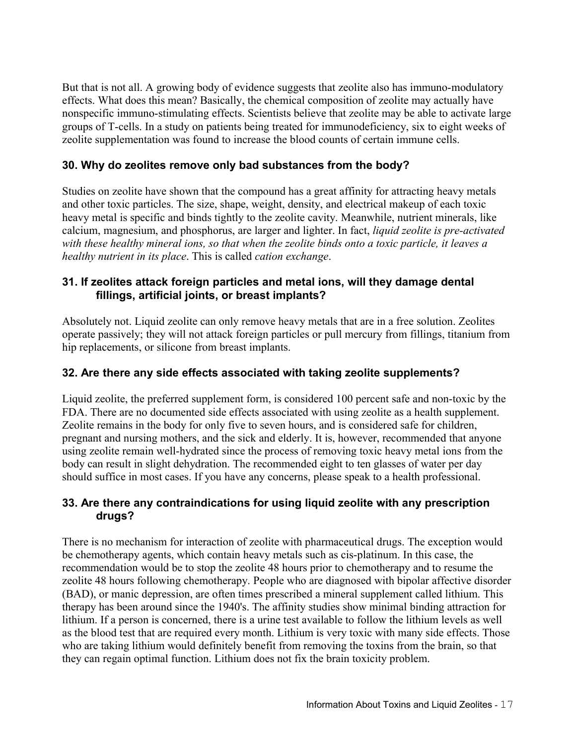But that is not all. A growing body of evidence suggests that zeolite also has immuno-modulatory effects. What does this mean? Basically, the chemical composition of zeolite may actually have nonspecific immuno-stimulating effects. Scientists believe that zeolite may be able to activate large groups of T-cells. In a study on patients being treated for immunodeficiency, six to eight weeks of zeolite supplementation was found to increase the blood counts of certain immune cells.

#### **30. Why do zeolites remove only bad substances from the body?**

Studies on zeolite have shown that the compound has a great affinity for attracting heavy metals and other toxic particles. The size, shape, weight, density, and electrical makeup of each toxic heavy metal is specific and binds tightly to the zeolite cavity. Meanwhile, nutrient minerals, like calcium, magnesium, and phosphorus, are larger and lighter. In fact, *liquid zeolite is pre-activated with these healthy mineral ions, so that when the zeolite binds onto a toxic particle, it leaves a healthy nutrient in its place*. This is called *cation exchange*.

#### **31. If zeolites attack foreign particles and metal ions, will they damage dental fillings, artificial joints, or breast implants?**

Absolutely not. Liquid zeolite can only remove heavy metals that are in a free solution. Zeolites operate passively; they will not attack foreign particles or pull mercury from fillings, titanium from hip replacements, or silicone from breast implants.

#### **32. Are there any side effects associated with taking zeolite supplements?**

Liquid zeolite, the preferred supplement form, is considered 100 percent safe and non-toxic by the FDA. There are no documented side effects associated with using zeolite as a health supplement. Zeolite remains in the body for only five to seven hours, and is considered safe for children, pregnant and nursing mothers, and the sick and elderly. It is, however, recommended that anyone using zeolite remain well-hydrated since the process of removing toxic heavy metal ions from the body can result in slight dehydration. The recommended eight to ten glasses of water per day should suffice in most cases. If you have any concerns, please speak to a health professional.

#### **33. Are there any contraindications for using liquid zeolite with any prescription drugs?**

There is no mechanism for interaction of zeolite with pharmaceutical drugs. The exception would be chemotherapy agents, which contain heavy metals such as cis-platinum. In this case, the recommendation would be to stop the zeolite 48 hours prior to chemotherapy and to resume the zeolite 48 hours following chemotherapy. People who are diagnosed with bipolar affective disorder (BAD), or manic depression, are often times prescribed a mineral supplement called lithium. This therapy has been around since the 1940's. The affinity studies show minimal binding attraction for lithium. If a person is concerned, there is a urine test available to follow the lithium levels as well as the blood test that are required every month. Lithium is very toxic with many side effects. Those who are taking lithium would definitely benefit from removing the toxins from the brain, so that they can regain optimal function. Lithium does not fix the brain toxicity problem.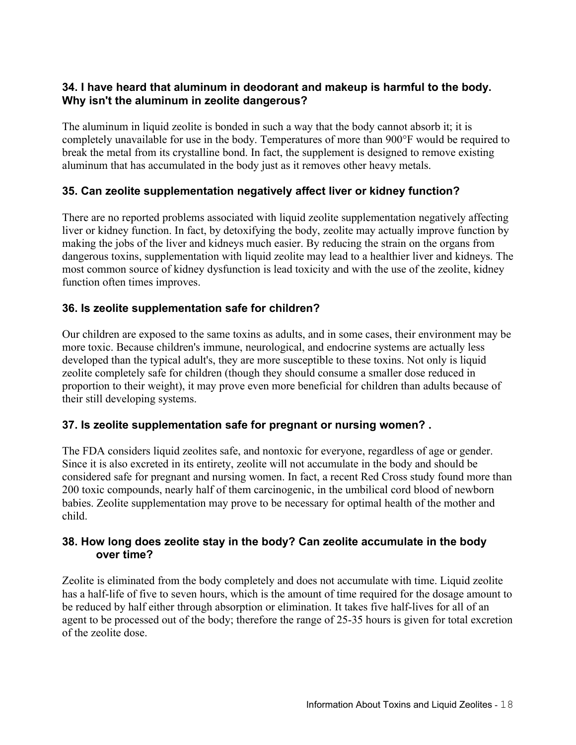### **34. I have heard that aluminum in deodorant and makeup is harmful to the body. Why isn't the aluminum in zeolite dangerous?**

The aluminum in liquid zeolite is bonded in such a way that the body cannot absorb it; it is completely unavailable for use in the body. Temperatures of more than 900°F would be required to break the metal from its crystalline bond. In fact, the supplement is designed to remove existing aluminum that has accumulated in the body just as it removes other heavy metals.

# **35. Can zeolite supplementation negatively affect liver or kidney function?**

There are no reported problems associated with liquid zeolite supplementation negatively affecting liver or kidney function. In fact, by detoxifying the body, zeolite may actually improve function by making the jobs of the liver and kidneys much easier. By reducing the strain on the organs from dangerous toxins, supplementation with liquid zeolite may lead to a healthier liver and kidneys. The most common source of kidney dysfunction is lead toxicity and with the use of the zeolite, kidney function often times improves.

# **36. Is zeolite supplementation safe for children?**

Our children are exposed to the same toxins as adults, and in some cases, their environment may be more toxic. Because children's immune, neurological, and endocrine systems are actually less developed than the typical adult's, they are more susceptible to these toxins. Not only is liquid zeolite completely safe for children (though they should consume a smaller dose reduced in proportion to their weight), it may prove even more beneficial for children than adults because of their still developing systems.

# **37. Is zeolite supplementation safe for pregnant or nursing women? .**

The FDA considers liquid zeolites safe, and nontoxic for everyone, regardless of age or gender. Since it is also excreted in its entirety, zeolite will not accumulate in the body and should be considered safe for pregnant and nursing women. In fact, a recent Red Cross study found more than 200 toxic compounds, nearly half of them carcinogenic, in the umbilical cord blood of newborn babies. Zeolite supplementation may prove to be necessary for optimal health of the mother and child.

#### **38. How long does zeolite stay in the body? Can zeolite accumulate in the body over time?**

Zeolite is eliminated from the body completely and does not accumulate with time. Liquid zeolite has a half-life of five to seven hours, which is the amount of time required for the dosage amount to be reduced by half either through absorption or elimination. It takes five half-lives for all of an agent to be processed out of the body; therefore the range of 25-35 hours is given for total excretion of the zeolite dose.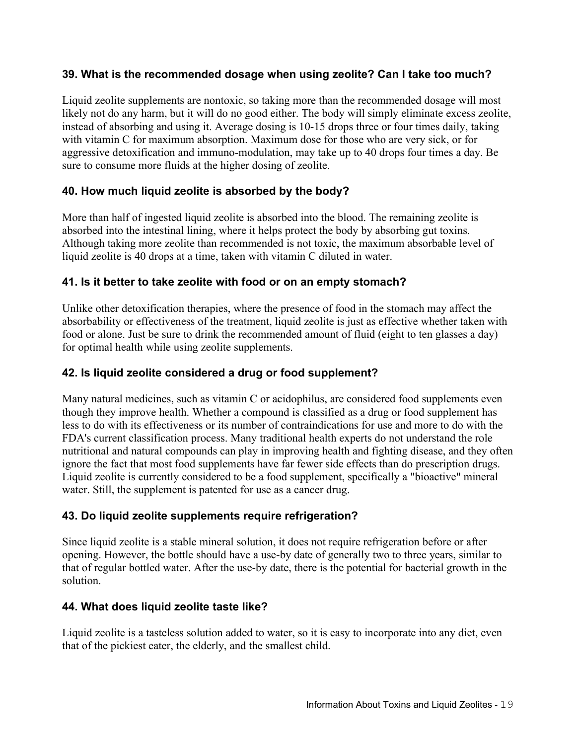#### **39. What is the recommended dosage when using zeolite? Can I take too much?**

Liquid zeolite supplements are nontoxic, so taking more than the recommended dosage will most likely not do any harm, but it will do no good either. The body will simply eliminate excess zeolite, instead of absorbing and using it. Average dosing is 10-15 drops three or four times daily, taking with vitamin C for maximum absorption. Maximum dose for those who are very sick, or for aggressive detoxification and immuno-modulation, may take up to 40 drops four times a day. Be sure to consume more fluids at the higher dosing of zeolite.

# **40. How much liquid zeolite is absorbed by the body?**

More than half of ingested liquid zeolite is absorbed into the blood. The remaining zeolite is absorbed into the intestinal lining, where it helps protect the body by absorbing gut toxins. Although taking more zeolite than recommended is not toxic, the maximum absorbable level of liquid zeolite is 40 drops at a time, taken with vitamin C diluted in water.

# **41. Is it better to take zeolite with food or on an empty stomach?**

Unlike other detoxification therapies, where the presence of food in the stomach may affect the absorbability or effectiveness of the treatment, liquid zeolite is just as effective whether taken with food or alone. Just be sure to drink the recommended amount of fluid (eight to ten glasses a day) for optimal health while using zeolite supplements.

#### **42. Is liquid zeolite considered a drug or food supplement?**

Many natural medicines, such as vitamin C or acidophilus, are considered food supplements even though they improve health. Whether a compound is classified as a drug or food supplement has less to do with its effectiveness or its number of contraindications for use and more to do with the FDA's current classification process. Many traditional health experts do not understand the role nutritional and natural compounds can play in improving health and fighting disease, and they often ignore the fact that most food supplements have far fewer side effects than do prescription drugs. Liquid zeolite is currently considered to be a food supplement, specifically a "bioactive" mineral water. Still, the supplement is patented for use as a cancer drug.

# **43. Do liquid zeolite supplements require refrigeration?**

Since liquid zeolite is a stable mineral solution, it does not require refrigeration before or after opening. However, the bottle should have a use-by date of generally two to three years, similar to that of regular bottled water. After the use-by date, there is the potential for bacterial growth in the solution.

# **44. What does liquid zeolite taste like?**

Liquid zeolite is a tasteless solution added to water, so it is easy to incorporate into any diet, even that of the pickiest eater, the elderly, and the smallest child.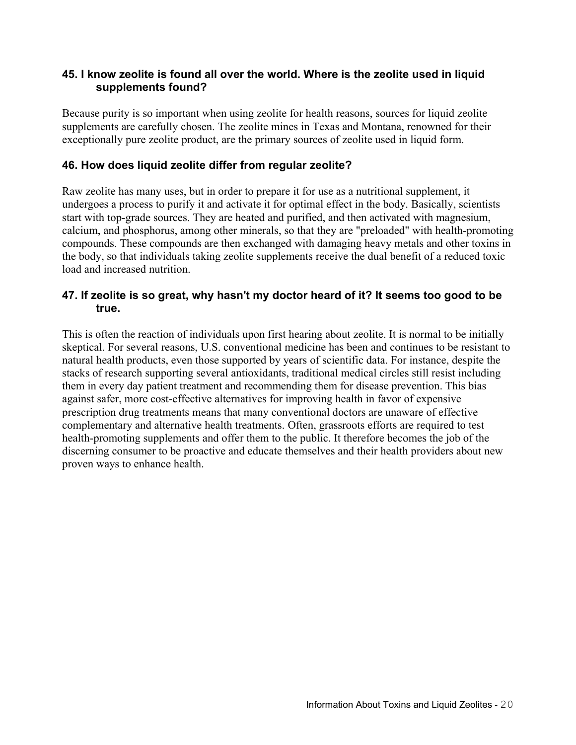#### **45. I know zeolite is found all over the world. Where is the zeolite used in liquid supplements found?**

Because purity is so important when using zeolite for health reasons, sources for liquid zeolite supplements are carefully chosen. The zeolite mines in Texas and Montana, renowned for their exceptionally pure zeolite product, are the primary sources of zeolite used in liquid form.

#### **46. How does liquid zeolite differ from regular zeolite?**

Raw zeolite has many uses, but in order to prepare it for use as a nutritional supplement, it undergoes a process to purify it and activate it for optimal effect in the body. Basically, scientists start with top-grade sources. They are heated and purified, and then activated with magnesium, calcium, and phosphorus, among other minerals, so that they are "preloaded" with health-promoting compounds. These compounds are then exchanged with damaging heavy metals and other toxins in the body, so that individuals taking zeolite supplements receive the dual benefit of a reduced toxic load and increased nutrition.

#### **47. If zeolite is so great, why hasn't my doctor heard of it? It seems too good to be true.**

This is often the reaction of individuals upon first hearing about zeolite. It is normal to be initially skeptical. For several reasons, U.S. conventional medicine has been and continues to be resistant to natural health products, even those supported by years of scientific data. For instance, despite the stacks of research supporting several antioxidants, traditional medical circles still resist including them in every day patient treatment and recommending them for disease prevention. This bias against safer, more cost-effective alternatives for improving health in favor of expensive prescription drug treatments means that many conventional doctors are unaware of effective complementary and alternative health treatments. Often, grassroots efforts are required to test health-promoting supplements and offer them to the public. It therefore becomes the job of the discerning consumer to be proactive and educate themselves and their health providers about new proven ways to enhance health.